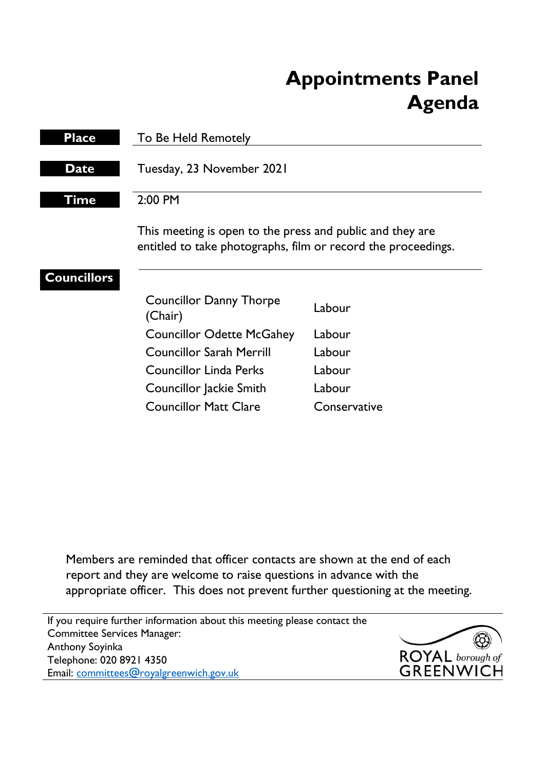# **Appointments Panel Agenda**

| <b>Place</b>       | To Be Held Remotely                                                                                                        |              |
|--------------------|----------------------------------------------------------------------------------------------------------------------------|--------------|
| <b>Date</b>        | Tuesday, 23 November 2021                                                                                                  |              |
| Time               | $2:00$ PM                                                                                                                  |              |
|                    | This meeting is open to the press and public and they are<br>entitled to take photographs, film or record the proceedings. |              |
| <b>Councillors</b> |                                                                                                                            |              |
|                    | <b>Councillor Danny Thorpe</b><br>(Chair)                                                                                  | Labour       |
|                    | <b>Councillor Odette McGahey</b>                                                                                           | Labour       |
|                    | <b>Councillor Sarah Merrill</b>                                                                                            | Labour       |
|                    | <b>Councillor Linda Perks</b>                                                                                              | Labour       |
|                    | Councillor Jackie Smith                                                                                                    | Labour       |
|                    | <b>Councillor Matt Clare</b>                                                                                               | Conservative |

Members are reminded that officer contacts are shown at the end of each report and they are welcome to raise questions in advance with the appropriate officer. This does not prevent further questioning at the meeting.

If you require further information about this meeting please contact the Committee Services Manager: Anthony Soyinka Telephone: 020 8921 4350 Email: [committees@royalgreenwich.gov.uk](mailto:committees@royalgreenwich.gov.uk)

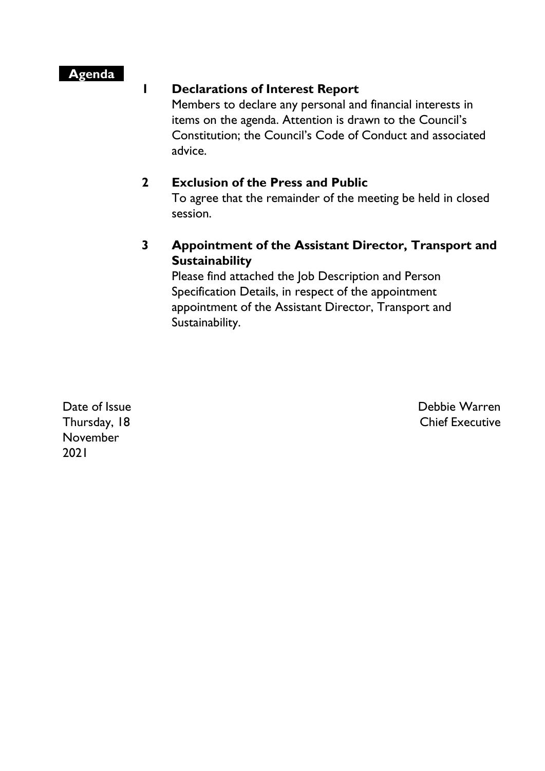### **Agenda**

#### **1 Declarations of Interest Report**

Members to declare any personal and financial interests in items on the agenda. Attention is drawn to the Council's Constitution; the Council's Code of Conduct and associated advice.

#### **2 Exclusion of the Press and Public**

To agree that the remainder of the meeting be held in closed session.

## **3 Appointment of the Assistant Director, Transport and Sustainability**

Please find attached the Job Description and Person Specification Details, in respect of the appointment appointment of the Assistant Director, Transport and Sustainability.

Date of Issue Thursday, 18 November 2021

Debbie Warren Chief Executive